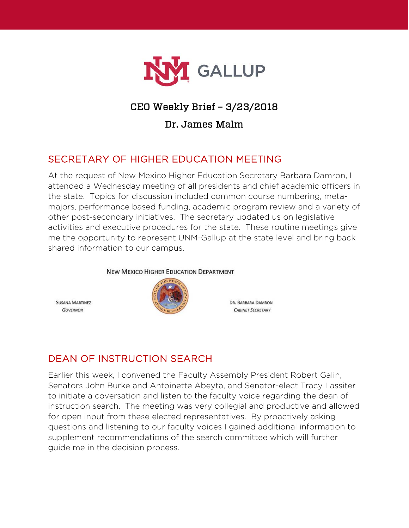

# CEO Weekly Brief – 3/23/2018

#### Dr. James Malm

# SECRETARY OF HIGHER EDUCATION MEETING

At the request of New Mexico Higher Education Secretary Barbara Damron, I attended a Wednesday meeting of all presidents and chief academic officers in the state. Topics for discussion included common course numbering, metamajors, performance based funding, academic program review and a variety of other post-secondary initiatives. The secretary updated us on legislative activities and executive procedures for the state. These routine meetings give me the opportunity to represent UNM-Gallup at the state level and bring back shared information to our campus.

#### **NEW MEXICO HIGHER EDUCATION DEPARTMENT**

**SUSANA MARTINEZ GOVERNOR** 



DR. BARBARA DAMRON **CABINET SECRETARY** 

# DEAN OF INSTRUCTION SEARCH

Earlier this week, I convened the Faculty Assembly President Robert Galin, Senators John Burke and Antoinette Abeyta, and Senator-elect Tracy Lassiter to initiate a coversation and listen to the faculty voice regarding the dean of instruction search. The meeting was very collegial and productive and allowed for open input from these elected representatives. By proactively asking questions and listening to our faculty voices I gained additional information to supplement recommendations of the search committee which will further guide me in the decision process.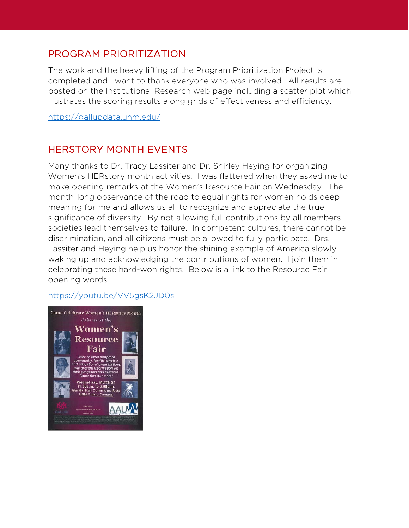## PROGRAM PRIORITIZATION

The work and the heavy lifting of the Program Prioritization Project is completed and I want to thank everyone who was involved. All results are posted on the Institutional Research web page including a scatter plot which illustrates the scoring results along grids of effectiveness and efficiency.

<https://gallupdata.unm.edu/>

# HERSTORY MONTH EVENTS

Many thanks to Dr. Tracy Lassiter and Dr. Shirley Heying for organizing Women's HERstory month activities. I was flattered when they asked me to make opening remarks at the Women's Resource Fair on Wednesday. The month-long observance of the road to equal rights for women holds deep meaning for me and allows us all to recognize and appreciate the true significance of diversity. By not allowing full contributions by all members, societies lead themselves to failure. In competent cultures, there cannot be discrimination, and all citizens must be allowed to fully participate. Drs. Lassiter and Heying help us honor the shining example of America slowly waking up and acknowledging the contributions of women. I join them in celebrating these hard-won rights. Below is a link to the Resource Fair opening words.

#### <https://youtu.be/VV5gsK2JD0s>

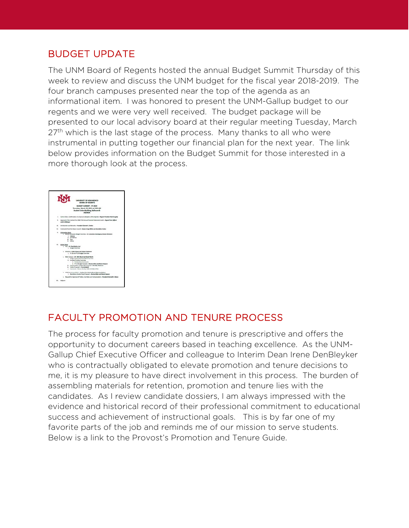## BUDGET UPDATE

The UNM Board of Regents hosted the annual Budget Summit Thursday of this week to review and discuss the UNM budget for the fiscal year 2018-2019. The four branch campuses presented near the top of the agenda as an informational item. I was honored to present the UNM-Gallup budget to our regents and we were very well received. The budget package will be presented to our local advisory board at their regular meeting Tuesday, March  $27<sup>th</sup>$  which is the last stage of the process. Many thanks to all who were instrumental in putting together our financial plan for the next year. The link below provides information on the Budget Summit for those interested in a more thorough look at the process.

|        | UNIVERSITY OF NEW MEXICO<br>BOARD OF REGENTS                                                                                                                                                                                                                                                                                                                                    |
|--------|---------------------------------------------------------------------------------------------------------------------------------------------------------------------------------------------------------------------------------------------------------------------------------------------------------------------------------------------------------------------------------|
|        | BUDGET SUMMAIT - FY 2019<br>Thursday, March 22, 2018 at 9:00 AM<br>Student Union Building, Ballroom B<br><b>AGENDA</b>                                                                                                                                                                                                                                                          |
| ×.     | Call to Order, Cardinnation of a Openum, Adoption of the Agentic - Report Provident Rob Strughly.                                                                                                                                                                                                                                                                               |
| $\sim$ | Approval of the Contract for UNAFPTS Annual Financial Statements Audit - Aspent Tom CAThrat<br>and Lti Metaper                                                                                                                                                                                                                                                                  |
| ۰      | introduction and Remarks - President Genett S. Stakes                                                                                                                                                                                                                                                                                                                           |
| $\sim$ | Commercial from the Deans Council - Deans Crops White and Servicilian Reduct                                                                                                                                                                                                                                                                                                    |
| ×      | <b>Information Notes</b><br>4. Branch Campuses Budget Depricing - Dr. Jerosima Bansinguas, Branch Directors<br>1. Valencia<br>A. Los Marinas<br><b>H. Tans</b><br><b>A. Salva</b>                                                                                                                                                                                               |
|        | ALTERNATION<br>a. mix - de Aqui Australia<br>1. Bulget Decrease                                                                                                                                                                                                                                                                                                                 |
|        | b. Africance - Coldie Money and Robert Holdmann<br>1. Fit 18 and Ft 19 Budget Detroites                                                                                                                                                                                                                                                                                         |
|        | 1. Main Campus - Dr. Mich Winnel and Small Hanny<br>1. Budget Leadership Team (B.T. Ducruisa<br>6. Punding Printfies Charnese<br>1. Introductory Commercial<br>2. FY 23 Budget Sconario - Norma Afen and Nicole Dispose<br>E. Conservation and Banafits Program - Banafity Andersan<br>to Furnish Programatic Terry Rubble<br>c. Comments - Deans, Ferrito, Staff, ASS/MK, GPSA |
|        | 6. UNS Nacammandation - Student Fee Rentew Board Representatives<br>1. Manifestory Musleet Free Propriets - Names Allen and Minski Depose                                                                                                                                                                                                                                       |
|        | Request for Approval of Turkon, Fox Robin and Compensation - President Sumset E. Shakes                                                                                                                                                                                                                                                                                         |
|        | Adopt                                                                                                                                                                                                                                                                                                                                                                           |

## FACULTY PROMOTION AND TENURE PROCESS

The process for faculty promotion and tenure is prescriptive and offers the opportunity to document careers based in teaching excellence. As the UNM-Gallup Chief Executive Officer and colleague to Interim Dean Irene DenBleyker who is contractually obligated to elevate promotion and tenure decisions to me, it is my pleasure to have direct involvement in this process. The burden of assembling materials for retention, promotion and tenure lies with the candidates. As I review candidate dossiers, I am always impressed with the evidence and historical record of their professional commitment to educational success and achievement of instructional goals. This is by far one of my favorite parts of the job and reminds me of our mission to serve students. Below is a link to the Provost's Promotion and Tenure Guide.